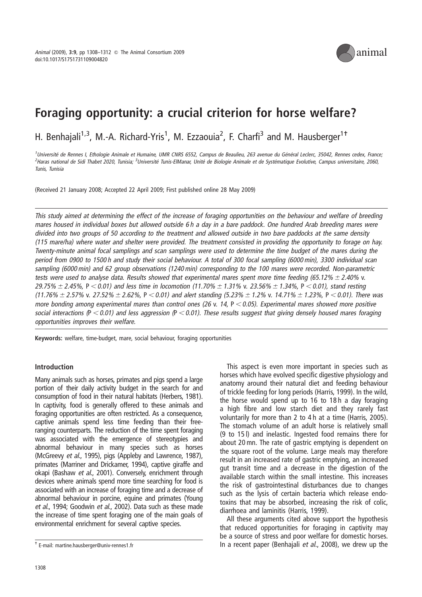

# Foraging opportunity: a crucial criterion for horse welfare?

H. Benhajali<sup>1,3</sup>, M.-A. Richard-Yris<sup>1</sup>, M. Ezzaouia<sup>2</sup>, F. Charfi<sup>3</sup> and M. Hausberger<sup>1†</sup>

<sup>1</sup>Université de Rennes I, Ethologie Animale et Humaine, UMR CNRS 6552, Campus de Beaulieu, 263 avenue du Général Leclerc, 35042, Rennes cedex, France; <sup>2</sup>Haras national de Sidi Thabet 2020, Tunisia; <sup>3</sup>Université Tunis-ElManar, Unité de Biologie Animale et de Systématique Evolutive, Campus universitaire, 2060, Tunis, Tunisia

(Received 21 January 2008; Accepted 22 April 2009; First published online 28 May 2009)

This study aimed at determining the effect of the increase of foraging opportunities on the behaviour and welfare of breeding mares housed in individual boxes but allowed outside 6 h <sup>a</sup> day in <sup>a</sup> bare paddock. One hundred Arab breeding mares were divided into two groups of 50 according to the treatment and allowed outside in two bare paddocks at the same density (115 mare/ha) where water and shelter were provided. The treatment consisted in providing the opportunity to forage on hay. Twenty-minute animal focal samplings and scan samplings were used to determine the time budget of the mares during the period from 0900 to 1500 h and study their social behaviour. A total of 300 focal sampling (6000 min), 3300 individual scan sampling (6000 min) and 62 group observations (1240 min) corresponding to the 100 mares were recorded. Non-parametric tests were used to analyse data. Results showed that experimental mares spent more time feeding (65.12%  $\pm$  2.40% v. 29.75%  $\pm$  2.45%, P < 0.01) and less time in locomotion (11.70%  $\pm$  1.31% v. 23.56%  $\pm$  1.34%, P < 0.01), stand resting (11.76%  $\pm$  2.57% v. 27.52%  $\pm$  2.62%, P < 0.01) and alert standing (5.23%  $\pm$  1.2% v. 14.71%  $\pm$  1.23%, P < 0.01). There was more bonding among experimental mares than control ones (26 v. 14,  $P < 0.05$ ). Experimental mares showed more positive social interactions (P < 0.01) and less aggression (P < 0.01). These results suggest that giving densely housed mares foraging opportunities improves their welfare.

Keywords: welfare, time-budget, mare, social behaviour, foraging opportunities

## Introduction

Many animals such as horses, primates and pigs spend a large portion of their daily activity budget in the search for and consumption of food in their natural habitats (Herbers, 1981). In captivity, food is generally offered to these animals and foraging opportunities are often restricted. As a consequence, captive animals spend less time feeding than their freeranging counterparts. The reduction of the time spent foraging was associated with the emergence of stereotypies and abnormal behaviour in many species such as horses (McGreevy et al., 1995), pigs (Appleby and Lawrence, 1987), primates (Marriner and Drickamer, 1994), captive giraffe and okapi (Bashaw et al., 2001). Conversely, enrichment through devices where animals spend more time searching for food is associated with an increase of foraging time and a decrease of abnormal behaviour in porcine, equine and primates (Young et al., 1994; Goodwin et al., 2002). Data such as these made the increase of time spent foraging one of the main goals of environmental enrichment for several captive species.

This aspect is even more important in species such as horses which have evolved specific digestive physiology and anatomy around their natural diet and feeding behaviour of trickle feeding for long periods (Harris, 1999). In the wild, the horse would spend up to 16 to 18 h a day foraging a high fibre and low starch diet and they rarely fast voluntarily for more than 2 to 4 h at a time (Harris, 2005). The stomach volume of an adult horse is relatively small (9 to 15 l) and inelastic. Ingested food remains there for about 20 mn. The rate of gastric emptying is dependent on the square root of the volume. Large meals may therefore result in an increased rate of gastric emptying, an increased gut transit time and a decrease in the digestion of the available starch within the small intestine. This increases the risk of gastrointestinal disturbances due to changes such as the lysis of certain bacteria which release endotoxins that may be absorbed, increasing the risk of colic, diarrhoea and laminitis (Harris, 1999).

All these arguments cited above support the hypothesis that reduced opportunities for foraging in captivity may be a source of stress and poor welfare for domestic horses. <sup>+</sup> E-mail: martine.hausberger@univ-rennes1.fr **Franking and The Community of the - E-mail:** martine.hausberger@univ-rennes1.fr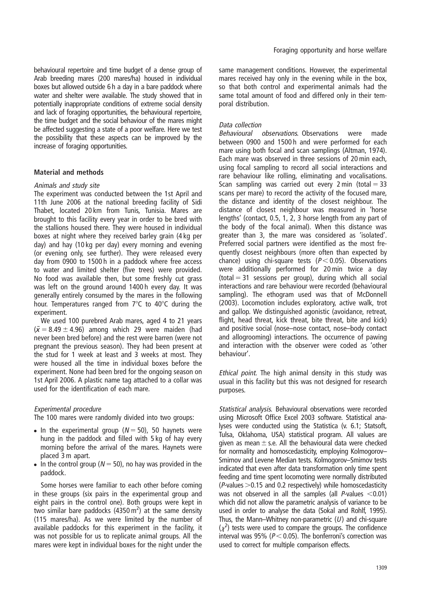behavioural repertoire and time budget of a dense group of Arab breeding mares (200 mares/ha) housed in individual boxes but allowed outside 6 h a day in a bare paddock where water and shelter were available. The study showed that in potentially inappropriate conditions of extreme social density and lack of foraging opportunities, the behavioural repertoire, the time budget and the social behaviour of the mares might be affected suggesting a state of a poor welfare. Here we test the possibility that these aspects can be improved by the increase of foraging opportunities.

## Material and methods

### Animals and study site

The experiment was conducted between the 1st April and 11th June 2006 at the national breeding facility of Sidi Thabet, located 20 km from Tunis, Tunisia. Mares are brought to this facility every year in order to be bred with the stallions housed there. They were housed in individual boxes at night where they received barley grain (4 kg per day) and hay (10 kg per day) every morning and evening (or evening only, see further). They were released every day from 0900 to 1500 h in a paddock where free access to water and limited shelter (five trees) were provided. No food was available then, but some freshly cut grass was left on the ground around 1400 h every day. It was generally entirely consumed by the mares in the following hour. Temperatures ranged from  $7^{\circ}$ C to  $40^{\circ}$ C during the experiment.

We used 100 purebred Arab mares, aged 4 to 21 years  $(\bar{x} = 8.49 \pm 4.96)$  among which 29 were maiden (had never been bred before) and the rest were barren (were not pregnant the previous season). They had been present at the stud for 1 week at least and 3 weeks at most. They were housed all the time in individual boxes before the experiment. None had been bred for the ongoing season on 1st April 2006. A plastic name tag attached to a collar was used for the identification of each mare.

#### Experimental procedure

The 100 mares were randomly divided into two groups:

- In the experimental group ( $N = 50$ ), 50 haynets were hung in the paddock and filled with 5 kg of hay every morning before the arrival of the mares. Haynets were placed 3 m apart.
- In the control group ( $N = 50$ ), no hay was provided in the paddock.

Some horses were familiar to each other before coming in these groups (six pairs in the experimental group and eight pairs in the control one). Both groups were kept in two similar bare paddocks  $(4350 \,\mathrm{m}^2)$  at the same density (115 mares/ha). As we were limited by the number of available paddocks for this experiment in the facility, it was not possible for us to replicate animal groups. All the mares were kept in individual boxes for the night under the

same management conditions. However, the experimental mares received hay only in the evening while in the box, so that both control and experimental animals had the same total amount of food and differed only in their temporal distribution.

#### Data collection

Behavioural observations. Observations were made between 0900 and 1500 h and were performed for each mare using both focal and scan samplings (Altman, 1974). Each mare was observed in three sessions of 20 min each, using focal sampling to record all social interactions and rare behaviour like rolling, eliminating and vocalisations. Scan sampling was carried out every  $2 \text{ min}$  (total = 33 scans per mare) to record the activity of the focused mare, the distance and identity of the closest neighbour. The distance of closest neighbour was measured in 'horse lengths' (contact, 0.5, 1, 2, 3 horse length from any part of the body of the focal animal). When this distance was greater than 3, the mare was considered as 'isolated'. Preferred social partners were identified as the most frequently closest neighbours (more often than expected by chance) using chi-square tests  $(P < 0.05)$ . Observations were additionally performed for 20 min twice a day  $(total = 31$  sessions per group), during which all social interactions and rare behaviour were recorded (behavioural sampling). The ethogram used was that of McDonnell (2003). Locomotion includes exploratory, active walk, trot and gallop. We distinguished agonistic (avoidance, retreat, flight, head threat, kick threat, bite threat, bite and kick) and positive social (nose–nose contact, nose–body contact and allogrooming) interactions. The occurrence of pawing and interaction with the observer were coded as 'other behaviour'.

Ethical point. The high animal density in this study was usual in this facility but this was not designed for research purposes.

Statistical analysis. Behavioural observations were recorded using Microsoft Office Excel 2003 software. Statistical analyses were conducted using the Statistica (v. 6.1; Statsoft, Tulsa, Oklahoma, USA) statistical program. All values are given as mean  $\pm$  s.e. All the behavioural data were checked for normality and homoscedasticity, employing Kolmogorov– Smirnov and Levene Median tests. Kolmogorov–Smirnov tests indicated that even after data transformation only time spent feeding and time spent locomoting were normally distributed  $(P$ -values  $>$  0.15 and 0.2 respectively) while homoscedasticity was not observed in all the samples (all P-values  $< 0.01$ ) which did not allow the parametric analysis of variance to be used in order to analyse the data (Sokal and Rohlf, 1995). Thus, the Mann–Whitney non-parametric  $(U)$  and chi-square  $(\chi^2)$  tests were used to compare the groups. The confidence interval was 95% ( $P < 0.05$ ). The bonferroni's correction was used to correct for multiple comparison effects.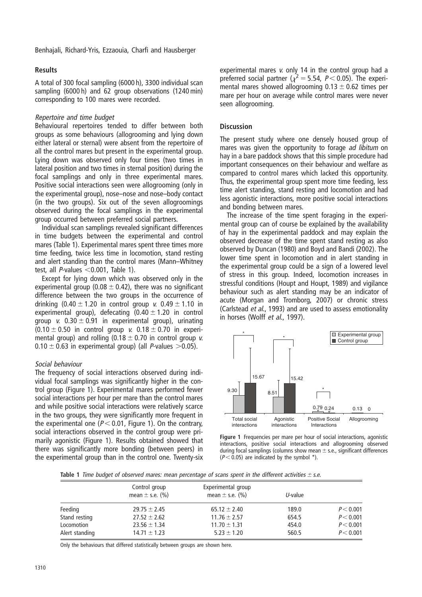Benhajali, Richard-Yris, Ezzaouia, Charfi and Hausberger

## Results

A total of 300 focal sampling (6000 h), 3300 individual scan sampling (6000 h) and 62 group observations (1240 min) corresponding to 100 mares were recorded.

### Repertoire and time budget

Behavioural repertoires tended to differ between both groups as some behaviours (allogrooming and lying down either lateral or sternal) were absent from the repertoire of all the control mares but present in the experimental group. Lying down was observed only four times (two times in lateral position and two times in sternal position) during the focal samplings and only in three experimental mares. Positive social interactions seen were allogrooming (only in the experimental group), nose–nose and nose–body contact (in the two groups). Six out of the seven allogroomings observed during the focal samplings in the experimental group occurred between preferred social partners.

Individual scan samplings revealed significant differences in time budgets between the experimental and control mares (Table 1). Experimental mares spent three times more time feeding, twice less time in locomotion, stand resting and alert standing than the control mares (Mann–Whitney test, all  $P$ -values  $<$ 0.001, Table 1).

Except for lying down which was observed only in the experimental group (0.08  $\pm$  0.42), there was no significant difference between the two groups in the occurrence of drinking  $(0.40 \pm 1.20$  in control group v.  $0.49 \pm 1.10$  in experimental group), defecating  $(0.40 \pm 1.20$  in control group v.  $0.30 \pm 0.91$  in experimental group), urinating  $(0.10 \pm 0.50)$  in control group v.  $0.18 \pm 0.70$  in experimental group) and rolling (0.18  $\pm$  0.70 in control group v.  $0.10 \pm 0.63$  in experimental group) (all P-values  $> 0.05$ ).

#### Social behaviour

The frequency of social interactions observed during individual focal samplings was significantly higher in the control group (Figure 1). Experimental mares performed fewer social interactions per hour per mare than the control mares and while positive social interactions were relatively scarce in the two groups, they were significantly more frequent in the experimental one ( $P < 0.01$ , Figure 1). On the contrary, social interactions observed in the control group were primarily agonistic (Figure 1). Results obtained showed that there was significantly more bonding (between peers) in the experimental group than in the control one. Twenty-six experimental mares <sup>v</sup>. only 14 in the control group had a preferred social partner ( $\chi^2$  = 5.54, P < 0.05). The experimental mares showed allogrooming  $0.13 \pm 0.62$  times per mare per hour on average while control mares were never seen allogrooming.

#### Discussion

The present study where one densely housed group of mares was given the opportunity to forage ad libitum on hay in a bare paddock shows that this simple procedure had important consequences on their behaviour and welfare as compared to control mares which lacked this opportunity. Thus, the experimental group spent more time feeding, less time alert standing, stand resting and locomotion and had less agonistic interactions, more positive social interactions and bonding between mares.

The increase of the time spent foraging in the experimental group can of course be explained by the availability of hay in the experimental paddock and may explain the observed decrease of the time spent stand resting as also observed by Duncan (1980) and Boyd and Bandi (2002). The lower time spent in locomotion and in alert standing in the experimental group could be a sign of a lowered level of stress in this group. Indeed, locomotion increases in stressful conditions (Houpt and Houpt, 1989) and vigilance behaviour such as alert standing may be an indicator of acute (Morgan and Tromborg, 2007) or chronic stress (Carlstead et al., 1993) and are used to assess emotionality in horses (Wolff et al., 1997).



Figure 1 Frequencies per mare per hour of social interactions, agonistic interactions, positive social interactions and allogrooming observed during focal samplings (columns show mean  $\pm$  s.e., significant differences  $(P < 0.05)$  are indicated by the symbol \*).

Table 1 Time budget of observed mares: mean percentage of scans spent in the different activities  $\pm$  s.e.

|                | Control group<br>mean $\pm$ s.e. (%) | Experimental group<br>mean $\pm$ s.e. (%) | $U$ -value |           |
|----------------|--------------------------------------|-------------------------------------------|------------|-----------|
| Feeding        | $29.75 \pm 2.45$                     | $65.12 \pm 2.40$                          | 189.0      | P < 0.001 |
| Stand resting  | $27.52 \pm 2.62$                     | $11.76 \pm 2.57$                          | 654.5      | P < 0.001 |
| Locomotion     | $23.56 \pm 1.34$                     | $11.70 \pm 1.31$                          | 454.0      | P < 0.001 |
| Alert standing | $14.71 \pm 1.23$                     | $5.23 \pm 1.20$                           | 560.5      | P < 0.001 |

Only the behaviours that differed statistically between groups are shown here.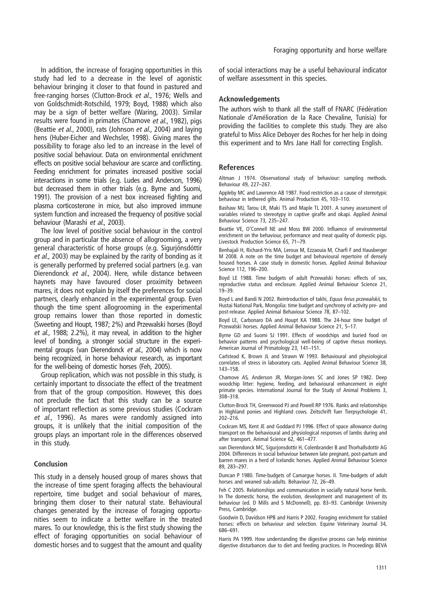In addition, the increase of foraging opportunities in this study had led to a decrease in the level of agonistic behaviour bringing it closer to that found in pastured and free-ranging horses (Clutton-Brock et al., 1976; Wells and von Goldschmidt-Rotschild, 1979; Boyd, 1988) which also may be a sign of better welfare (Waring, 2003). Similar results were found in primates (Chamove *et al.*, 1982), pigs (Beattie et al., 2000), rats (Johnson et al., 2004) and laying hens (Huber-Eicher and Wechsler, 1998). Giving mares the possibility to forage also led to an increase in the level of positive social behaviour. Data on environmental enrichment effects on positive social behaviour are scarce and conflicting. Feeding enrichment for primates increased positive social interactions in some trials (e.g. Ludes and Anderson, 1996) but decreased them in other trials (e.g. Byrne and Suomi, 1991). The provision of a nest box increased fighting and plasma corticosterone in mice, but also improved immune system function and increased the frequency of positive social behaviour (Marashi et al., 2003).

The low level of positive social behaviour in the control group and in particular the absence of allogrooming, a very general characteristic of horse groups (e.g. Sigurionsdottir et al., 2003) may be explained by the rarity of bonding as it is generally performed by preferred social partners (e.g. van Dierendonck et al., 2004). Here, while distance between haynets may have favoured closer proximity between mares, it does not explain by itself the preferences for social partners, clearly enhanced in the experimental group. Even though the time spent allogrooming in the experimental group remains lower than those reported in domestic (Sweeting and Houpt, 1987; 2%) and Przewalski horses (Boyd et al., 1988; 2.2%), it may reveal, in addition to the higher level of bonding, a stronger social structure in the experimental groups (van Dierendonck et al., 2004) which is now being recognized, in horse behaviour research, as important for the well-being of domestic horses (Feh, 2005).

Group replication, which was not possible in this study, is certainly important to dissociate the effect of the treatment from that of the group composition. However, this does not preclude the fact that this study can be a source of important reflection as some previous studies (Cockram et al., 1996). As mares were randomly assigned into groups, it is unlikely that the initial composition of the groups plays an important role in the differences observed in this study.

## Conclusion

This study in a densely housed group of mares shows that the increase of time spent foraging affects the behavioural repertoire, time budget and social behaviour of mares, bringing them closer to their natural state. Behavioural changes generated by the increase of foraging opportunities seem to indicate a better welfare in the treated mares. To our knowledge, this is the first study showing the effect of foraging opportunities on social behaviour of domestic horses and to suggest that the amount and quality

of social interactions may be a useful behavioural indicator of welfare assessment in this species.

### Acknowledgements

The authors wish to thank all the staff of FNARC (Fédération Nationale d'Amélioration de la Race Chevaline, Tunisia) for providing the facilities to complete this study. They are also grateful to Miss Alice Deboyer des Roches for her help in doing this experiment and to Mrs Jane Hall for correcting English.

#### References

Altman J 1974. Observational study of behaviour: sampling methods. Behaviour 49, 227–267.

Appleby MC and Lawrence AB 1987. Food restriction as a cause of stereotypic behaviour in tethered gilts. Animal Production 45, 103–110.

Bashaw MJ, Tarou LR, Maki TS and Maple TL 2001. A survey assessment of variables related to stereotypy in captive giraffe and okapi. Applied Animal Behaviour Science 73, 235–247.

Beattie VE, O'Connell NE and Moss BW 2000. Influence of environmental enrichment on the behaviour, performance and meat quality of domestic pigs. Livestock Production Science 65, 71–79.

Benhajali H, Richard-Yris MA, Leroux M, Ezzaouia M, Charfi F and Hausberger M 2008. A note on the time budget and behavioural repertoire of densely housed horses. A case study in domestic horses. Applied Animal Behaviour Science 112, 196–200.

Boyd LE 1988. Time budgets of adult Przewalski horses: effects of sex, reproductive status and enclosure. Applied Animal Behaviour Science 21, 19–39.

Boyd L and Bandi N 2002. Reintroduction of takhi, *Equus ferus przewalskii*, to Hustai National Park, Mongolia: time budget and synchrony of activity pre- and post-release. Applied Animal Behaviour Science 78, 87–102.

Boyd LE, Carbonaro DA and Houpt KA 1988. The 24-hour time budget of Przewalski horses. Applied Animal Behaviour Science 21, 5–17.

Byrne GD and Suomi SJ 1991. Effects of woodchips and buried food on behavior patterns and psychological well-being of captive rhesus monkeys. American Journal of Primatology 23, 141–151.

Carlstead K, Brown JL and Strawn W 1993. Behavioural and physiological correlates of stress in laboratory cats. Applied Animal Behaviour Science 38, 143–158.

Chamove AS, Anderson JR, Morgan-Jones SC and Jones SP 1982. Deep woodchip litter: hygiene, feeding, and behavioural enhancement in eight primate species. International Journal for the Study of Animal Problems 3, 308–318.

Clutton-Brock TH, Greenwood PJ and Powell RP 1976. Ranks and relationships in Highland ponies and Highland cows. Zeitschrift fuer Tierpsychologie 41, 202–216.

Cockram MS, Kent JE and Goddard PJ 1996. Effect of space allowance during transport on the behavioural and physiological responses of lambs during and after transport. Animal Science 62, 461–477.

van Dierendonck MC, Sigurjonsdottir H, Colenbrander B and Thorhallsdottir AG 2004. Differences in social behaviour between late pregnant, post-partum and barren mares in a herd of Icelandic horses. Applied Animal Behaviour Science 89, 283–297.

Duncan P 1980. Time-budgets of Camargue horses. II. Time-budgets of adult horses and weaned sub-adults. Behaviour 72, 26–49.

Feh C 2005. Relationships and communication in socially natural horse herds. In The domestic horse, the evolution, development and management of its behaviour (ed. D Mills and S McDonnell), pp. 83–93. Cambridge University Press, Cambridge.

Goodwin D, Davidson HPB and Harris P 2002. Foraging enrichment for stabled horses: effects on behaviour and selection. Equine Veterinary Journal 34, 686–691.

Harris PA 1999. How understanding the digestive process can help minimise digestive disturbances due to diet and feeding practices. In Proceedings BEVA